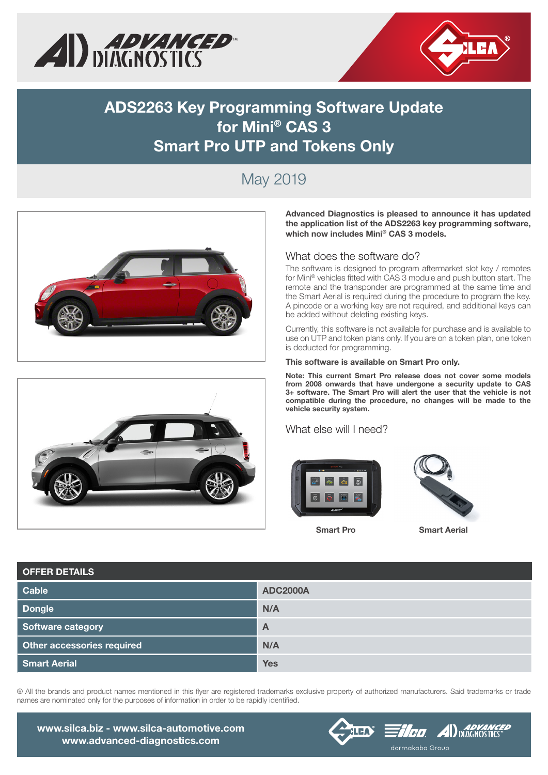



## ADS2263 Key Programming Software Update for Mini® CAS 3 Smart Pro UTP and Tokens Only

# May 2019





Advanced Diagnostics is pleased to announce it has updated the application list of the ADS2263 key programming software, which now includes Mini® CAS 3 models.

### What does the software do?

The software is designed to program aftermarket slot key / remotes for Mini® vehicles fitted with CAS 3 module and push button start. The remote and the transponder are programmed at the same time and the Smart Aerial is required during the procedure to program the key. A pincode or a working key are not required, and additional keys can be added without deleting existing keys.

Currently, this software is not available for purchase and is available to use on UTP and token plans only. If you are on a token plan, one token is deducted for programming.

#### This software is available on Smart Pro only.

Note: This current Smart Pro release does not cover some models from 2008 onwards that have undergone a security update to CAS 3+ software. The Smart Pro will alert the user that the vehicle is not compatible during the procedure, no changes will be made to the vehicle security system.

### What else will I need?





Smart Pro Smart Aerial

| <b>OFFER DETAILS</b>       |                 |  |  |  |  |
|----------------------------|-----------------|--|--|--|--|
| Cable                      | <b>ADC2000A</b> |  |  |  |  |
| <b>Dongle</b>              | N/A             |  |  |  |  |
| Software category          | $\overline{A}$  |  |  |  |  |
| Other accessories required | N/A             |  |  |  |  |
| <b>Smart Aerial</b>        | <b>Yes</b>      |  |  |  |  |

® All the brands and product names mentioned in this flyer are registered trademarks exclusive property of authorized manufacturers. Said trademarks or trade names are nominated only for the purposes of information in order to be rapidly identified.